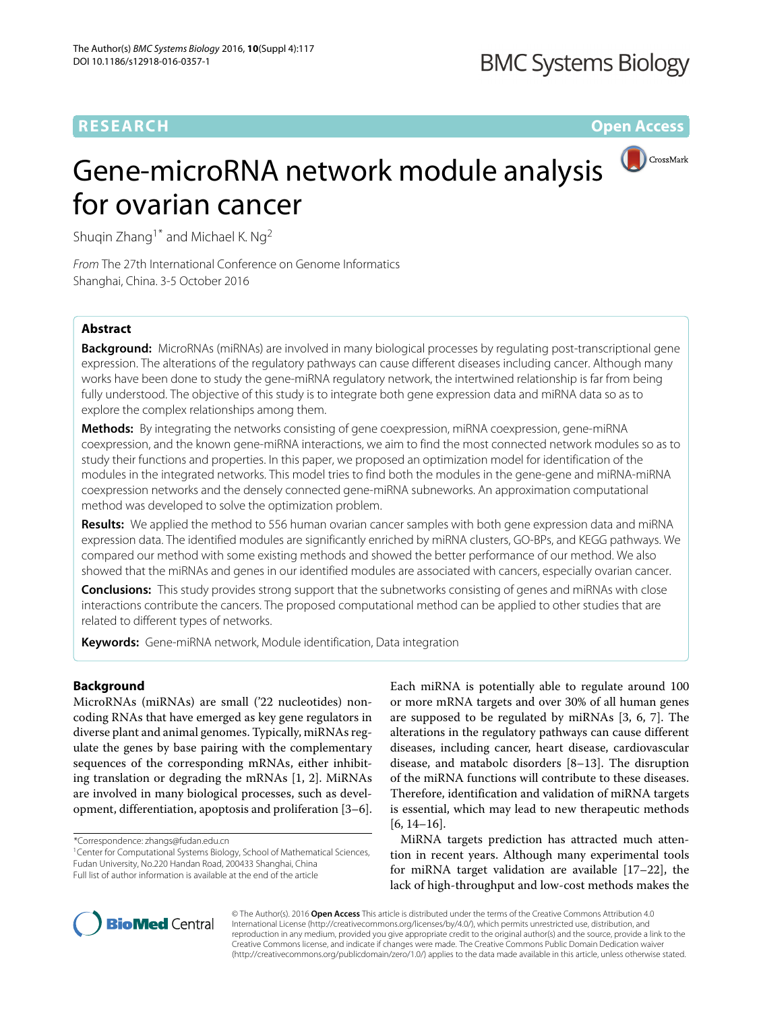# **RESEARCH Open Access**

# CrossMark Gene-microRNA network module analysis for ovarian cancer

Shuqin Zhang<sup>1\*</sup> and Michael K. Ng<sup>2</sup>

From The 27th International Conference on Genome Informatics Shanghai, China. 3-5 October 2016

## **Abstract**

**Background:** MicroRNAs (miRNAs) are involved in many biological processes by regulating post-transcriptional gene expression. The alterations of the regulatory pathways can cause different diseases including cancer. Although many works have been done to study the gene-miRNA regulatory network, the intertwined relationship is far from being fully understood. The objective of this study is to integrate both gene expression data and miRNA data so as to explore the complex relationships among them.

**Methods:** By integrating the networks consisting of gene coexpression, miRNA coexpression, gene-miRNA coexpression, and the known gene-miRNA interactions, we aim to find the most connected network modules so as to study their functions and properties. In this paper, we proposed an optimization model for identification of the modules in the integrated networks. This model tries to find both the modules in the gene-gene and miRNA-miRNA coexpression networks and the densely connected gene-miRNA subneworks. An approximation computational method was developed to solve the optimization problem.

**Results:** We applied the method to 556 human ovarian cancer samples with both gene expression data and miRNA expression data. The identified modules are significantly enriched by miRNA clusters, GO-BPs, and KEGG pathways. We compared our method with some existing methods and showed the better performance of our method. We also showed that the miRNAs and genes in our identified modules are associated with cancers, especially ovarian cancer.

**Conclusions:** This study provides strong support that the subnetworks consisting of genes and miRNAs with close interactions contribute the cancers. The proposed computational method can be applied to other studies that are related to different types of networks.

**Keywords:** Gene-miRNA network, Module identification, Data integration

#### **Background**

MicroRNAs (miRNAs) are small ('22 nucleotides) noncoding RNAs that have emerged as key gene regulators in diverse plant and animal genomes. Typically, miRNAs regulate the genes by base pairing with the complementary sequences of the corresponding mRNAs, either inhibiting translation or degrading the mRNAs [\[1,](#page-9-0) [2\]](#page-9-1). MiRNAs are involved in many biological processes, such as development, differentiation, apoptosis and proliferation [\[3–](#page-9-2)[6\]](#page-9-3).

\*Correspondence: [zhangs@fudan.edu.cn](mailto: zhangs@fudan.edu.cn)

<sup>1</sup>Center for Computational Systems Biology, School of Mathematical Sciences, Fudan University, No.220 Handan Road, 200433 Shanghai, China Full list of author information is available at the end of the article

Each miRNA is potentially able to regulate around 100 or more mRNA targets and over 30% of all human genes are supposed to be regulated by miRNAs [\[3,](#page-9-2) [6,](#page-9-3) [7\]](#page-9-4). The alterations in the regulatory pathways can cause different diseases, including cancer, heart disease, cardiovascular disease, and matabolc disorders [\[8](#page-9-5)[–13\]](#page-9-6). The disruption of the miRNA functions will contribute to these diseases. Therefore, identification and validation of miRNA targets is essential, which may lead to new therapeutic methods [\[6,](#page-9-3) [14–](#page-9-7)[16\]](#page-9-8).

MiRNA targets prediction has attracted much attention in recent years. Although many experimental tools for miRNA target validation are available [\[17–](#page-9-9)[22\]](#page-10-0), the lack of high-throughput and low-cost methods makes the



© The Author(s). 2016 **Open Access** This article is distributed under the terms of the Creative Commons Attribution 4.0 International License [\(http://creativecommons.org/licenses/by/4.0/\)](http://creativecommons.org/licenses/by/4.0/), which permits unrestricted use, distribution, and reproduction in any medium, provided you give appropriate credit to the original author(s) and the source, provide a link to the Creative Commons license, and indicate if changes were made. The Creative Commons Public Domain Dedication waiver [\(http://creativecommons.org/publicdomain/zero/1.0/\)](http://creativecommons.org/publicdomain/zero/1.0/) applies to the data made available in this article, unless otherwise stated.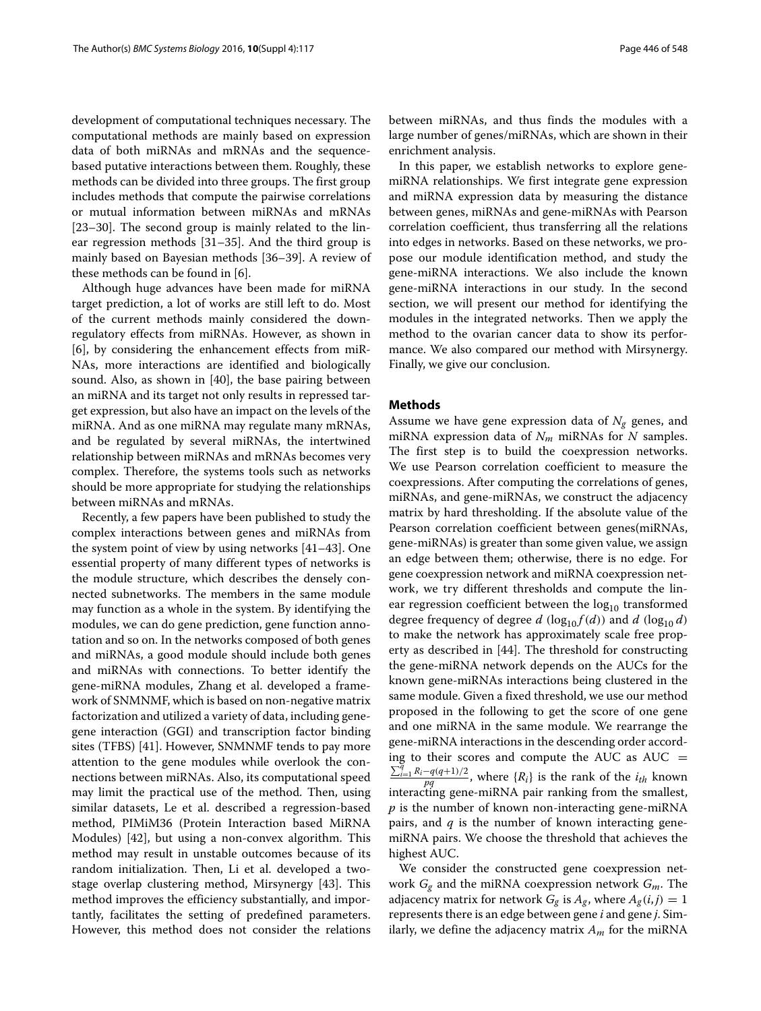development of computational techniques necessary. The computational methods are mainly based on expression data of both miRNAs and mRNAs and the sequencebased putative interactions between them. Roughly, these methods can be divided into three groups. The first group includes methods that compute the pairwise correlations or mutual information between miRNAs and mRNAs [\[23](#page-10-1)[–30\]](#page-10-2). The second group is mainly related to the linear regression methods [\[31–](#page-10-3)[35\]](#page-10-4). And the third group is mainly based on Bayesian methods [\[36–](#page-10-5)[39\]](#page-10-6). A review of these methods can be found in [\[6\]](#page-9-3).

Although huge advances have been made for miRNA target prediction, a lot of works are still left to do. Most of the current methods mainly considered the downregulatory effects from miRNAs. However, as shown in [\[6\]](#page-9-3), by considering the enhancement effects from miR-NAs, more interactions are identified and biologically sound. Also, as shown in [\[40\]](#page-10-7), the base pairing between an miRNA and its target not only results in repressed target expression, but also have an impact on the levels of the miRNA. And as one miRNA may regulate many mRNAs, and be regulated by several miRNAs, the intertwined relationship between miRNAs and mRNAs becomes very complex. Therefore, the systems tools such as networks should be more appropriate for studying the relationships between miRNAs and mRNAs.

Recently, a few papers have been published to study the complex interactions between genes and miRNAs from the system point of view by using networks [\[41–](#page-10-8)[43\]](#page-10-9). One essential property of many different types of networks is the module structure, which describes the densely connected subnetworks. The members in the same module may function as a whole in the system. By identifying the modules, we can do gene prediction, gene function annotation and so on. In the networks composed of both genes and miRNAs, a good module should include both genes and miRNAs with connections. To better identify the gene-miRNA modules, Zhang et al. developed a framework of SNMNMF, which is based on non-negative matrix factorization and utilized a variety of data, including genegene interaction (GGI) and transcription factor binding sites (TFBS) [\[41\]](#page-10-8). However, SNMNMF tends to pay more attention to the gene modules while overlook the connections between miRNAs. Also, its computational speed may limit the practical use of the method. Then, using similar datasets, Le et al. described a regression-based method, PIMiM36 (Protein Interaction based MiRNA Modules) [\[42\]](#page-10-10), but using a non-convex algorithm. This method may result in unstable outcomes because of its random initialization. Then, Li et al. developed a twostage overlap clustering method, Mirsynergy [\[43\]](#page-10-9). This method improves the efficiency substantially, and importantly, facilitates the setting of predefined parameters. However, this method does not consider the relations

between miRNAs, and thus finds the modules with a large number of genes/miRNAs, which are shown in their enrichment analysis.

In this paper, we establish networks to explore genemiRNA relationships. We first integrate gene expression and miRNA expression data by measuring the distance between genes, miRNAs and gene-miRNAs with Pearson correlation coefficient, thus transferring all the relations into edges in networks. Based on these networks, we propose our module identification method, and study the gene-miRNA interactions. We also include the known gene-miRNA interactions in our study. In the second section, we will present our method for identifying the modules in the integrated networks. Then we apply the method to the ovarian cancer data to show its performance. We also compared our method with Mirsynergy. Finally, we give our conclusion.

#### <span id="page-1-0"></span>**Methods**

Assume we have gene expression data of  $N_{\sigma}$  genes, and miRNA expression data of *Nm* miRNAs for *N* samples. The first step is to build the coexpression networks. We use Pearson correlation coefficient to measure the coexpressions. After computing the correlations of genes, miRNAs, and gene-miRNAs, we construct the adjacency matrix by hard thresholding. If the absolute value of the Pearson correlation coefficient between genes(miRNAs, gene-miRNAs) is greater than some given value, we assign an edge between them; otherwise, there is no edge. For gene coexpression network and miRNA coexpression network, we try different thresholds and compute the linear regression coefficient between the  $log_{10}$  transformed degree frequency of degree *d* ( $log_{10} f(d)$ ) and *d* ( $log_{10} d$ ) to make the network has approximately scale free property as described in [\[44\]](#page-10-11). The threshold for constructing the gene-miRNA network depends on the AUCs for the known gene-miRNAs interactions being clustered in the same module. Given a fixed threshold, we use our method proposed in the following to get the score of one gene and one miRNA in the same module. We rearrange the gene-miRNA interactions in the descending order according to their scores and compute the AUC as AUC =  $\frac{\sum_{i=1}^{q} R_i - q(q+1)/2}{pq}$ , where { $R_i$ } is the rank of the *i<sub>th</sub>* known interacting gene-miRNA pair ranking from the smallest, *p* is the number of known non-interacting gene-miRNA pairs, and *q* is the number of known interacting genemiRNA pairs. We choose the threshold that achieves the highest AUC.

We consider the constructed gene coexpression network *Gg* and the miRNA coexpression network *Gm*. The adjacency matrix for network  $G_g$  is  $A_g$ , where  $A_g(i, j) = 1$ represents there is an edge between gene *i* and gene *j*. Similarly, we define the adjacency matrix *Am* for the miRNA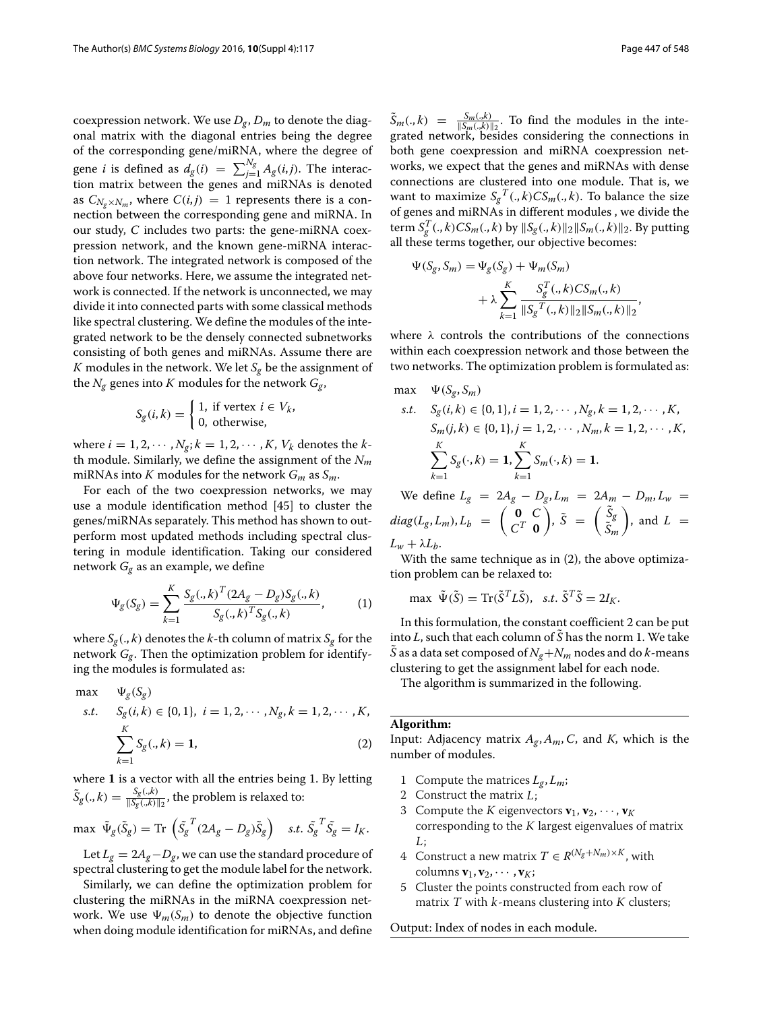coexpression network. We use  $D_g$ ,  $D_m$  to denote the diagonal matrix with the diagonal entries being the degree of the corresponding gene/miRNA, where the degree of gene *i* is defined as  $d_g(i) = \sum_{j=1}^{N_g} A_g(i,j)$ . The interaction matrix between the genes and miRNAs is denoted as  $C_{N_a \times N_m}$ , where  $C(i, j) = 1$  represents there is a connection between the corresponding gene and miRNA. In our study, *C* includes two parts: the gene-miRNA coexpression network, and the known gene-miRNA interaction network. The integrated network is composed of the above four networks. Here, we assume the integrated network is connected. If the network is unconnected, we may divide it into connected parts with some classical methods like spectral clustering. We define the modules of the integrated network to be the densely connected subnetworks consisting of both genes and miRNAs. Assume there are *K* modules in the network. We let  $S_g$  be the assignment of the  $N_g$  genes into *K* modules for the network  $G_g$ ,

$$
S_g(i,k) = \begin{cases} 1, & \text{if vertex } i \in V_k, \\ 0, & \text{otherwise,} \end{cases}
$$

where  $i = 1, 2, \cdots, N_g$ ;  $k = 1, 2, \cdots, K$ ,  $V_k$  denotes the *k*th module. Similarly, we define the assignment of the *Nm* miRNAs into *K* modules for the network  $G_m$  as  $S_m$ .

For each of the two coexpression networks, we may use a module identification method [\[45\]](#page-10-12) to cluster the genes/miRNAs separately. This method has shown to outperform most updated methods including spectral clustering in module identification. Taking our considered network *Gg* as an example, we define

$$
\Psi_{g}(S_{g}) = \sum_{k=1}^{K} \frac{S_{g}(.,k)^{T} (2A_{g} - D_{g}) S_{g}(.,k)}{S_{g}(.,k)^{T} S_{g}(.,k)},
$$
(1)

where  $S_g(., k)$  denotes the *k*-th column of matrix  $S_g$  for the network  $G_g$ . Then the optimization problem for identifying the modules is formulated as:

<span id="page-2-0"></span>max 
$$
\Psi_g(S_g)
$$
  
\ns.t.  $S_g(i,k) \in \{0,1\}, i = 1, 2, \dots, N_g, k = 1, 2, \dots, K,$   
\n $\sum_{k=1}^K S_g(., k) = 1,$  (2)

where **1** is a vector with all the entries being 1. By letting  $\tilde{S}_g(.,k) = \frac{S_g(.,k)}{\|S_g(.,k)\|_2}$ , the problem is relaxed to:

 $\max \ \tilde{\Psi}_g(\tilde{S}_g) = \text{Tr} \left( \tilde{S_g}^T (2A_g - D_g) \tilde{S}_g \right) \quad s.t. \ \tilde{S_g}^T \tilde{S_g} = I_K.$ 

Let  $L_g = 2A_g - D_g$ , we can use the standard procedure of spectral clustering to get the module label for the network.

Similarly, we can define the optimization problem for clustering the miRNAs in the miRNA coexpression network. We use  $\Psi_m(S_m)$  to denote the objective function when doing module identification for miRNAs, and define

 $\tilde{S}_m(.,k) = \frac{S_m(.,k)}{\|S_m(.,k)\|_2}$ . To find the modules in the integrated network, besides considering the connections in both gene coexpression and miRNA coexpression networks, we expect that the genes and miRNAs with dense connections are clustered into one module. That is, we want to maximize  $S_g^T(.,k)CS_m(.,k).$  To balance the size of genes and miRNAs in different modules , we divide the term  $S_g^T(.,k)CS_m(.,k)$  by  $||S_g(.,k)||_2||S_m(.,k)||_2$ . By putting all these terms together, our objective becomes:

$$
\Psi(S_g, S_m) = \Psi_g(S_g) + \Psi_m(S_m) \n+ \lambda \sum_{k=1}^K \frac{S_g^T(.,k)CS_m(.,k)}{\|S_g^T(.,k)\|_2\|S_m(.,k)\|_2},
$$

where  $\lambda$  controls the contributions of the connections within each coexpression network and those between the two networks. The optimization problem is formulated as:

max 
$$
\Psi(S_g, S_m)
$$
  
\ns.t.  $S_g(i, k) \in \{0, 1\}, i = 1, 2, \dots, N_g, k = 1, 2, \dots, K,$   
\n $S_m(j, k) \in \{0, 1\}, j = 1, 2, \dots, N_m, k = 1, 2, \dots, K,$   
\n $\sum_{k=1}^K S_g(\cdot, k) = 1, \sum_{k=1}^K S_m(\cdot, k) = 1.$ 

We define  $L_g = 2A_g - D_g$ ,  $L_m = 2A_m - D_m$ ,  $L_w =$  $diag(L_g, L_m), L_b = \begin{pmatrix} 0 & C \\ C^T & 0 \end{pmatrix}$ *C<sup>T</sup>* **0**  $\int$ ,  $\tilde{S} = \begin{pmatrix} \tilde{S}_g \\ \tilde{S} \end{pmatrix}$ *S*˜*<sup>m</sup>*  $\Big)$ , and  $L =$  $L_w + \lambda L_b$ .

With the same technique as in [\(2\)](#page-2-0), the above optimization problem can be relaxed to:

$$
\max \ \tilde{\Psi}(\tilde{S}) = \operatorname{Tr}(\tilde{S}^T L \tilde{S}), \ \ s.t. \ \tilde{S}^T \tilde{S} = 2I_K.
$$

In this formulation, the constant coefficient 2 can be put into  $L$ , such that each column of  $\tilde{S}$  has the norm 1. We take *S* as a data set composed of  $N_e + N_m$  nodes and do *k*-means clustering to get the assignment label for each node.

The algorithm is summarized in the following.

#### **Algorithm:**

Input: Adjacency matrix  $A_g$ ,  $A_m$ ,  $C$ , and  $K$ , which is the number of modules.

- 1 Compute the matrices  $L_g$ ,  $L_m$ ;
- 2 Construct the matrix L;
- 3 Compute the *K* eigenvectors  $\mathbf{v}_1, \mathbf{v}_2, \cdots, \mathbf{v}_K$ corresponding to the  $K$  largest eigenvalues of matrix L;
- 4 Construct a new matrix  $T \in R^{(N_g+N_m)\times K}$ , with columns  $\mathbf{v}_1, \mathbf{v}_2, \cdots, \mathbf{v}_K$ ;
- 5 Cluster the points constructed from each row of matrix  $T$  with  $k$ -means clustering into  $K$  clusters;

Output: Index of nodes in each module.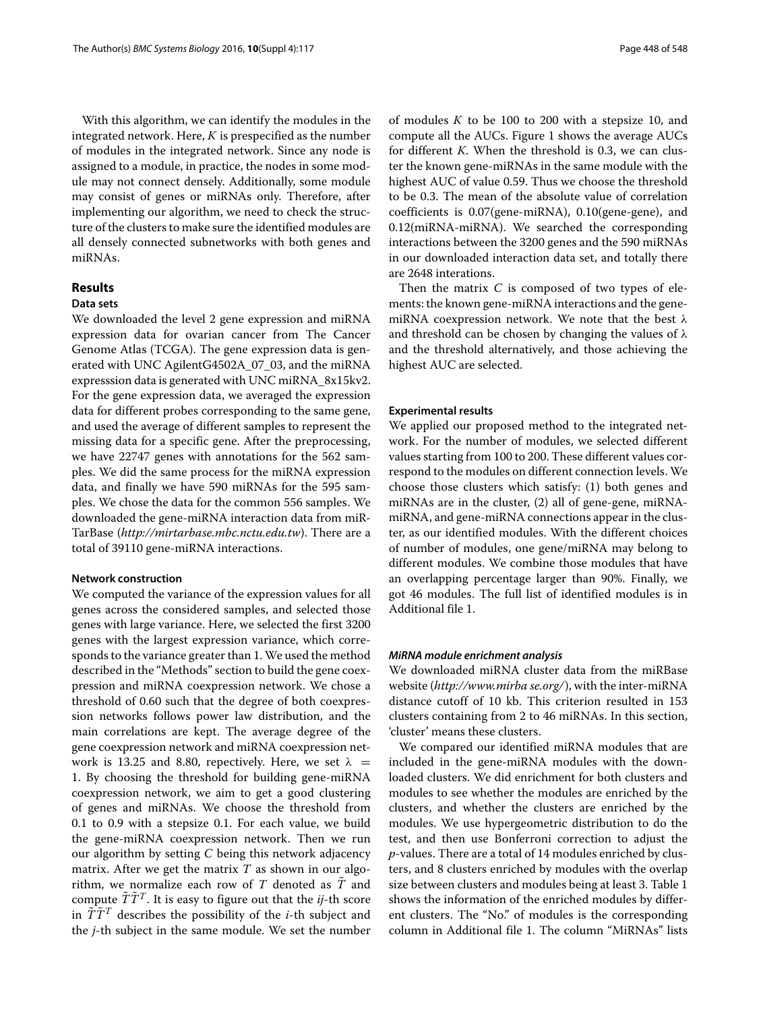With this algorithm, we can identify the modules in the integrated network. Here, *K* is prespecified as the number of modules in the integrated network. Since any node is assigned to a module, in practice, the nodes in some module may not connect densely. Additionally, some module may consist of genes or miRNAs only. Therefore, after implementing our algorithm, we need to check the structure of the clusters to make sure the identified modules are all densely connected subnetworks with both genes and miRNAs.

#### **Results**

#### **Data sets**

We downloaded the level 2 gene expression and miRNA expression data for ovarian cancer from The Cancer Genome Atlas (TCGA). The gene expression data is generated with UNC AgilentG4502A\_07\_03, and the miRNA expresssion data is generated with UNC miRNA\_8x15kv2. For the gene expression data, we averaged the expression data for different probes corresponding to the same gene, and used the average of different samples to represent the missing data for a specific gene. After the preprocessing, we have 22747 genes with annotations for the 562 samples. We did the same process for the miRNA expression data, and finally we have 590 miRNAs for the 595 samples. We chose the data for the common 556 samples. We downloaded the gene-miRNA interaction data from miR-TarBase (*http://mirtarbase.mbc.nctu.edu.tw*). There are a total of 39110 gene-miRNA interactions.

#### **Network construction**

We computed the variance of the expression values for all genes across the considered samples, and selected those genes with large variance. Here, we selected the first 3200 genes with the largest expression variance, which corresponds to the variance greater than 1. We used the method described in the ["Methods"](#page-1-0) section to build the gene coexpression and miRNA coexpression network. We chose a threshold of 0.60 such that the degree of both coexpression networks follows power law distribution, and the main correlations are kept. The average degree of the gene coexpression network and miRNA coexpression network is 13.25 and 8.80, repectively. Here, we set  $\lambda$  = 1. By choosing the threshold for building gene-miRNA coexpression network, we aim to get a good clustering of genes and miRNAs. We choose the threshold from 0.1 to 0.9 with a stepsize 0.1. For each value, we build the gene-miRNA coexpression network. Then we run our algorithm by setting *C* being this network adjacency matrix. After we get the matrix *T* as shown in our algorithm, we normalize each row of  $T$  denoted as  $\tilde{T}$  and compute  $\tilde{T}\tilde{T}^{T}$ . It is easy to figure out that the *ij*-th score in  $\tilde{T}\tilde{T}^T$  describes the possibility of the *i*-th subject and the *j*-th subject in the same module. We set the number of modules *K* to be 100 to 200 with a stepsize 10, and compute all the AUCs. Figure [1](#page-4-0) shows the average AUCs for different *K*. When the threshold is 0.3, we can cluster the known gene-miRNAs in the same module with the highest AUC of value 0.59. Thus we choose the threshold to be 0.3. The mean of the absolute value of correlation coefficients is 0.07(gene-miRNA), 0.10(gene-gene), and 0.12(miRNA-miRNA). We searched the corresponding interactions between the 3200 genes and the 590 miRNAs in our downloaded interaction data set, and totally there are 2648 interations.

Then the matrix *C* is composed of two types of elements: the known gene-miRNA interactions and the genemiRNA coexpression network. We note that the best  $\lambda$ and threshold can be chosen by changing the values of  $\lambda$ and the threshold alternatively, and those achieving the highest AUC are selected.

#### **Experimental results**

We applied our proposed method to the integrated network. For the number of modules, we selected different values starting from 100 to 200. These different values correspond to the modules on different connection levels. We choose those clusters which satisfy: (1) both genes and miRNAs are in the cluster, (2) all of gene-gene, miRNAmiRNA, and gene-miRNA connections appear in the cluster, as our identified modules. With the different choices of number of modules, one gene/miRNA may belong to different modules. We combine those modules that have an overlapping percentage larger than 90%. Finally, we got 46 modules. The full list of identified modules is in Additional file [1.](#page-9-10)

#### *MiRNA module enrichment analysis*

We downloaded miRNA cluster data from the miRBase website (*http://www.mirba se.org/*), with the inter-miRNA distance cutoff of 10 kb. This criterion resulted in 153 clusters containing from 2 to 46 miRNAs. In this section, 'cluster' means these clusters.

We compared our identified miRNA modules that are included in the gene-miRNA modules with the downloaded clusters. We did enrichment for both clusters and modules to see whether the modules are enriched by the clusters, and whether the clusters are enriched by the modules. We use hypergeometric distribution to do the test, and then use Bonferroni correction to adjust the *p*-values. There are a total of 14 modules enriched by clusters, and 8 clusters enriched by modules with the overlap size between clusters and modules being at least 3. Table [1](#page-5-0) shows the information of the enriched modules by different clusters. The "No." of modules is the corresponding column in Additional file [1.](#page-9-10) The column "MiRNAs" lists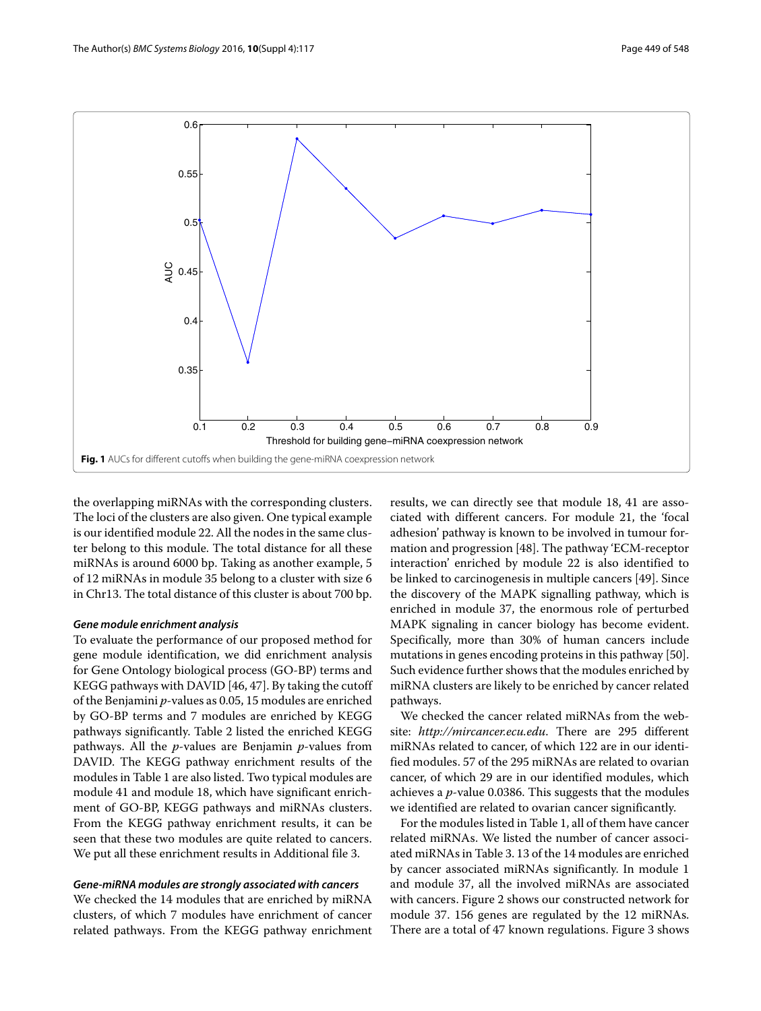

<span id="page-4-0"></span>the overlapping miRNAs with the corresponding clusters. The loci of the clusters are also given. One typical example is our identified module 22. All the nodes in the same cluster belong to this module. The total distance for all these miRNAs is around 6000 bp. Taking as another example, 5 of 12 miRNAs in module 35 belong to a cluster with size 6 in Chr13. The total distance of this cluster is about 700 bp.

#### *Gene module enrichment analysis*

To evaluate the performance of our proposed method for gene module identification, we did enrichment analysis for Gene Ontology biological process (GO-BP) terms and KEGG pathways with DAVID [\[46,](#page-10-13) [47\]](#page-10-14). By taking the cutoff of the Benjamini *p*-values as 0.05, 15 modules are enriched by GO-BP terms and 7 modules are enriched by KEGG pathways significantly. Table [2](#page-6-0) listed the enriched KEGG pathways. All the *p*-values are Benjamin *p*-values from DAVID. The KEGG pathway enrichment results of the modules in Table [1](#page-5-0) are also listed. Two typical modules are module 41 and module 18, which have significant enrichment of GO-BP, KEGG pathways and miRNAs clusters. From the KEGG pathway enrichment results, it can be seen that these two modules are quite related to cancers. We put all these enrichment results in Additional file [3.](#page-9-11)

#### *Gene-miRNA modules are strongly associated with cancers*

We checked the 14 modules that are enriched by miRNA clusters, of which 7 modules have enrichment of cancer related pathways. From the KEGG pathway enrichment results, we can directly see that module 18, 41 are associated with different cancers. For module 21, the 'focal adhesion' pathway is known to be involved in tumour formation and progression [\[48\]](#page-10-15). The pathway 'ECM-receptor interaction' enriched by module 22 is also identified to be linked to carcinogenesis in multiple cancers [\[49\]](#page-10-16). Since the discovery of the MAPK signalling pathway, which is enriched in module 37, the enormous role of perturbed MAPK signaling in cancer biology has become evident. Specifically, more than 30% of human cancers include mutations in genes encoding proteins in this pathway [\[50\]](#page-10-17). Such evidence further shows that the modules enriched by miRNA clusters are likely to be enriched by cancer related pathways.

We checked the cancer related miRNAs from the website: *http://mircancer.ecu.edu*. There are 295 different miRNAs related to cancer, of which 122 are in our identified modules. 57 of the 295 miRNAs are related to ovarian cancer, of which 29 are in our identified modules, which achieves a *p*-value 0.0386. This suggests that the modules we identified are related to ovarian cancer significantly.

For the modules listed in Table [1,](#page-5-0) all of them have cancer related miRNAs. We listed the number of cancer associated miRNAs in Table [3.](#page-7-0) 13 of the 14 modules are enriched by cancer associated miRNAs significantly. In module 1 and module 37, all the involved miRNAs are associated with cancers. Figure [2](#page-7-1) shows our constructed network for module 37. 156 genes are regulated by the 12 miRNAs. There are a total of 47 known regulations. Figure [3](#page-8-0) shows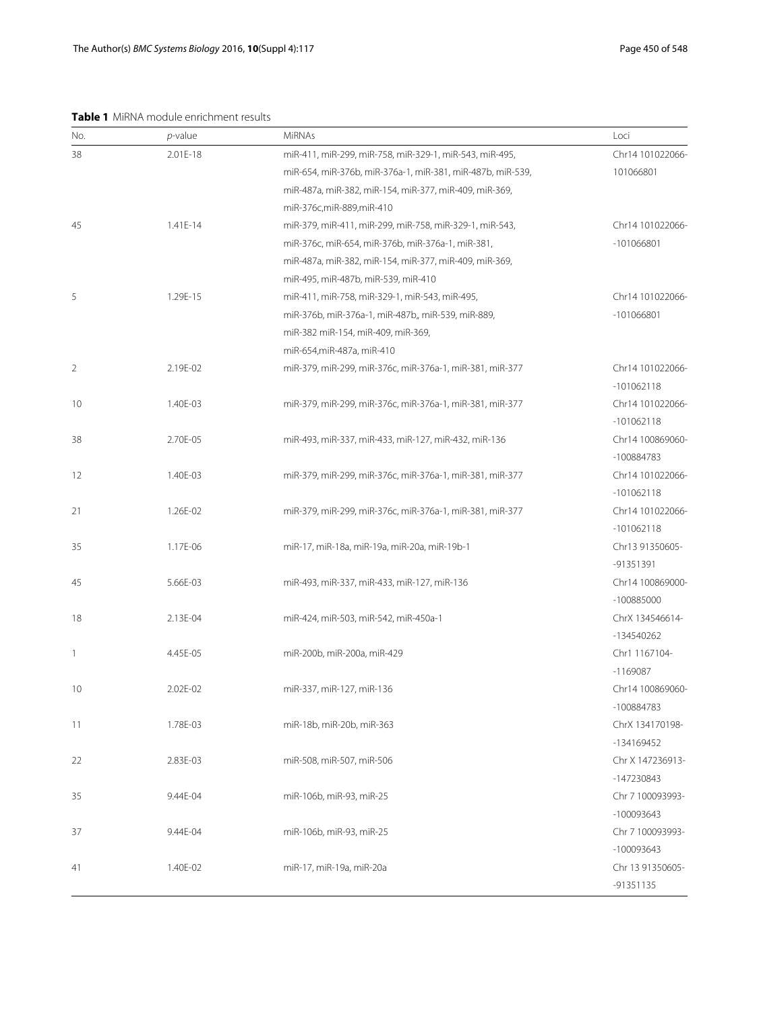<span id="page-5-0"></span>**Table 1** MiRNA module enrichment results

| No. | $p$ -value | <b>MiRNAs</b>                                              | Loci             |
|-----|------------|------------------------------------------------------------|------------------|
| 38  | 2.01E-18   | miR-411, miR-299, miR-758, miR-329-1, miR-543, miR-495,    | Chr14 101022066- |
|     |            | miR-654, miR-376b, miR-376a-1, miR-381, miR-487b, miR-539, | 101066801        |
|     |            | miR-487a, miR-382, miR-154, miR-377, miR-409, miR-369,     |                  |
|     |            | miR-376c,miR-889,miR-410                                   |                  |
| 45  | 1.41E-14   | miR-379, miR-411, miR-299, miR-758, miR-329-1, miR-543,    | Chr14 101022066- |
|     |            | miR-376c, miR-654, miR-376b, miR-376a-1, miR-381,          | -101066801       |
|     |            | miR-487a, miR-382, miR-154, miR-377, miR-409, miR-369,     |                  |
|     |            | miR-495, miR-487b, miR-539, miR-410                        |                  |
| 5   | 1.29E-15   | miR-411, miR-758, miR-329-1, miR-543, miR-495,             | Chr14 101022066- |
|     |            | miR-376b, miR-376a-1, miR-487b,, miR-539, miR-889,         | -101066801       |
|     |            | miR-382 miR-154, miR-409, miR-369,                         |                  |
|     |            | miR-654, miR-487a, miR-410                                 |                  |
| 2   | 2.19E-02   | miR-379, miR-299, miR-376c, miR-376a-1, miR-381, miR-377   | Chr14 101022066- |
|     |            |                                                            | $-101062118$     |
| 10  | 1.40E-03   | miR-379, miR-299, miR-376c, miR-376a-1, miR-381, miR-377   | Chr14 101022066- |
|     |            |                                                            | $-101062118$     |
| 38  | 2.70E-05   | miR-493, miR-337, miR-433, miR-127, miR-432, miR-136       | Chr14 100869060- |
|     |            |                                                            | -100884783       |
| 12  | 1.40E-03   | miR-379, miR-299, miR-376c, miR-376a-1, miR-381, miR-377   | Chr14 101022066- |
|     |            |                                                            | $-101062118$     |
| 21  | 1.26E-02   | miR-379, miR-299, miR-376c, miR-376a-1, miR-381, miR-377   | Chr14 101022066- |
|     |            |                                                            | $-101062118$     |
| 35  | 1.17E-06   | miR-17, miR-18a, miR-19a, miR-20a, miR-19b-1               | Chr13 91350605-  |
|     |            |                                                            | -91351391        |
| 45  | 5.66E-03   | miR-493, miR-337, miR-433, miR-127, miR-136                | Chr14 100869000- |
|     |            |                                                            | -100885000       |
| 18  | 2.13E-04   | miR-424, miR-503, miR-542, miR-450a-1                      | ChrX 134546614-  |
|     |            |                                                            | -134540262       |
| 1   | 4.45E-05   | miR-200b, miR-200a, miR-429                                | Chr1 1167104-    |
|     |            |                                                            | $-1169087$       |
| 10  | 2.02E-02   | miR-337, miR-127, miR-136                                  | Chr14 100869060- |
|     |            |                                                            | -100884783       |
| 11  | 1.78E-03   | miR-18b, miR-20b, miR-363                                  | ChrX 134170198-  |
|     |            |                                                            | -134169452       |
| 22  | 2.83E-03   | miR-508, miR-507, miR-506                                  | Chr X 147236913- |
|     |            |                                                            | -147230843       |
| 35  | 9.44E-04   | miR-106b, miR-93, miR-25                                   | Chr 7 100093993- |
|     |            |                                                            | -100093643       |
| 37  | 9.44E-04   | miR-106b, miR-93, miR-25                                   | Chr 7 100093993- |
|     |            |                                                            | -100093643       |
| 41  | 1.40E-02   | miR-17, miR-19a, miR-20a                                   | Chr 13 91350605- |
|     |            |                                                            | -91351135        |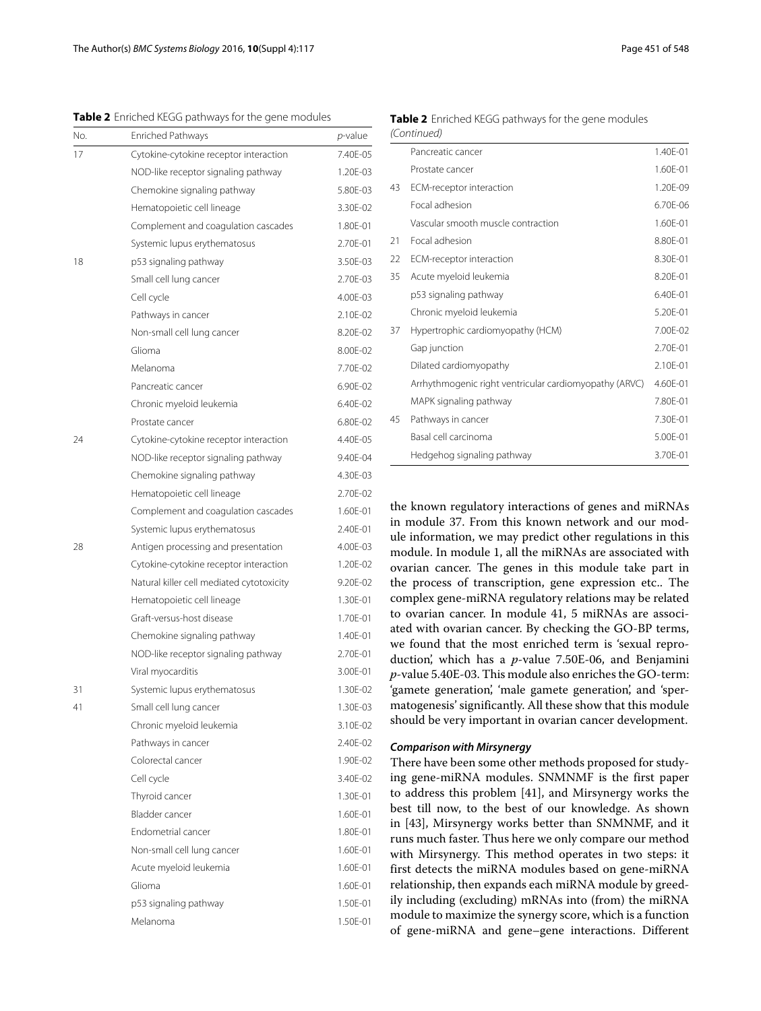<span id="page-6-0"></span>**Table 2** Enriched KEGG pathways for the gene modules

| No. | <b>Enriched Pathways</b>                  | <i>p</i> -value |
|-----|-------------------------------------------|-----------------|
| 17  | Cytokine-cytokine receptor interaction    | 7.40E-05        |
|     | NOD-like receptor signaling pathway       | 1.20E-03        |
|     | Chemokine signaling pathway               | 5.80E-03        |
|     | Hematopoietic cell lineage                | 3.30F-02        |
|     | Complement and coagulation cascades       | 1.80E-01        |
|     | Systemic lupus erythematosus              | 2.70E-01        |
| 18  | p53 signaling pathway                     | 3.50E-03        |
|     | Small cell lung cancer                    | 2.70E-03        |
|     | Cell cycle                                | 4.00E-03        |
|     | Pathways in cancer                        | 2.10E-02        |
|     | Non-small cell lung cancer                | 8.20E-02        |
|     | Glioma                                    | 8.00E-02        |
|     | Melanoma                                  | 7.70E-02        |
|     | Pancreatic cancer                         | 6.90F-02        |
|     | Chronic myeloid leukemia                  | 6.40E-02        |
|     | Prostate cancer                           | 6.80E-02        |
| 24  | Cytokine-cytokine receptor interaction    | 4.40E-05        |
|     | NOD-like receptor signaling pathway       | 9.40E-04        |
|     | Chemokine signaling pathway               | 4.30E-03        |
|     | Hematopoietic cell lineage                | 2.70E-02        |
|     | Complement and coagulation cascades       | 1.60E-01        |
|     | Systemic lupus erythematosus              | 2.40E-01        |
| 28  | Antigen processing and presentation       | 4.00E-03        |
|     | Cytokine-cytokine receptor interaction    | 1.20E-02        |
|     | Natural killer cell mediated cytotoxicity | 9.20E-02        |
|     | Hematopoietic cell lineage                | 1.30E-01        |
|     | Graft-versus-host disease                 | 1.70E-01        |
|     | Chemokine signaling pathway               | 1.40E-01        |
|     | NOD-like receptor signaling pathway       | 2.70F-01        |
|     | Viral myocarditis                         | 3.00E-01        |
| 31  | Systemic lupus erythematosus              | 1.30E-02        |
| 41  | Small cell lung cancer                    | 1.30E-03        |
|     | Chronic myeloid leukemia                  | 3.10E-02        |
|     | Pathways in cancer                        | 2.40E-02        |
|     | Colorectal cancer                         | 1.90E-02        |
|     | Cell cycle                                | 3.40E-02        |
|     | Thyroid cancer                            | 1.30E-01        |
|     | Bladder cancer                            | 1.60E-01        |
|     | Endometrial cancer                        | 1.80E-01        |
|     | Non-small cell lung cancer                | 1.60E-01        |
|     | Acute myeloid leukemia                    | 1.60E-01        |
|     | Glioma                                    | 1.60E-01        |
|     | p53 signaling pathway                     | 1.50E-01        |
|     | Melanoma                                  | 1.50E-01        |

**Table 2** Enriched KEGG pathways for the gene modules (Continued)

|    | Pancreatic cancer                                      | 1.40E-01 |
|----|--------------------------------------------------------|----------|
|    | Prostate cancer                                        | 1.60E-01 |
| 43 | ECM-receptor interaction                               | 1.20E-09 |
|    | Focal adhesion                                         | 6.70E-06 |
|    | Vascular smooth muscle contraction                     | 1.60E-01 |
| 21 | Focal adhesion                                         | 8.80E-01 |
| 22 | ECM-receptor interaction                               | 8.30E-01 |
| 35 | Acute myeloid leukemia                                 | 8.20E-01 |
|    | p53 signaling pathway                                  | 6.40F-01 |
|    | Chronic myeloid leukemia                               | 5.20E-01 |
| 37 | Hypertrophic cardiomyopathy (HCM)                      | 7.00F-02 |
|    | Gap junction                                           | 2.70E-01 |
|    | Dilated cardiomyopathy                                 | 2.10E-01 |
|    | Arrhythmogenic right ventricular cardiomyopathy (ARVC) | 4.60E-01 |
|    | MAPK signaling pathway                                 | 7.80E-01 |
| 45 | Pathways in cancer                                     | 7.30E-01 |
|    | Basal cell carcinoma                                   | 5.00E-01 |
|    | Hedgehog signaling pathway                             | 3.70E-01 |

the known regulatory interactions of genes and miRNAs in module 37. From this known network and our module information, we may predict other regulations in this module. In module 1, all the miRNAs are associated with ovarian cancer. The genes in this module take part in the process of transcription, gene expression etc.. The complex gene-miRNA regulatory relations may be related to ovarian cancer. In module 41, 5 miRNAs are associated with ovarian cancer. By checking the GO-BP terms, we found that the most enriched term is 'sexual reproduction', which has a *p*-value 7.50E-06, and Benjamini *p*-value 5.40E-03. This module also enriches the GO-term: 'gamete generation', 'male gamete generation', and 'spermatogenesis' significantly. All these show that this module should be very important in ovarian cancer development.

#### *Comparison with Mirsynergy*

There have been some other methods proposed for studying gene-miRNA modules. SNMNMF is the first paper to address this problem [\[41\]](#page-10-8), and Mirsynergy works the best till now, to the best of our knowledge. As shown in [\[43\]](#page-10-9), Mirsynergy works better than SNMNMF, and it runs much faster. Thus here we only compare our method with Mirsynergy. This method operates in two steps: it first detects the miRNA modules based on gene-miRNA relationship, then expands each miRNA module by greedily including (excluding) mRNAs into (from) the miRNA module to maximize the synergy score, which is a function of gene-miRNA and gene–gene interactions. Different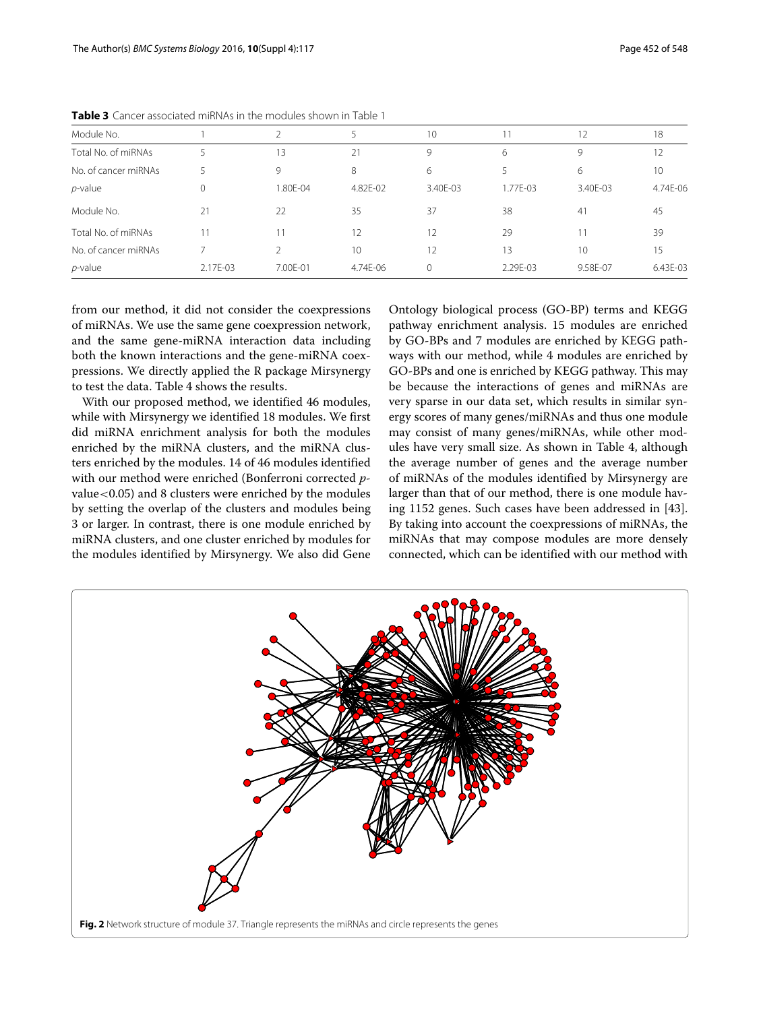| Module No.           |          |          |          | 10       |          | 12       | 18       |
|----------------------|----------|----------|----------|----------|----------|----------|----------|
| Total No. of miRNAs  | 5        | 13       | 21       | 9        | 6        | 9        | 12       |
| No. of cancer miRNAs |          | 9        | 8        | 6        |          | 6        | 10       |
| $p$ -value           |          | 1.80E-04 | 4.82E-02 | 3.40E-03 | 1.77E-03 | 3.40E-03 | 4.74E-06 |
| Module No.           | 21       | 22       | 35       | 37       | 38       | 41       | 45       |
| Total No. of miRNAs  | 11       | 11       | 12       | 12       | 29       |          | 39       |
| No. of cancer miRNAs |          |          | 10       | 12       | 13       | 10       | 15       |
| $p$ -value           | 2.17E-03 | 7.00E-01 | 4.74E-06 | $\Omega$ | 2.29E-03 | 9.58E-07 | 6.43E-03 |

<span id="page-7-0"></span>**Table 3** Cancer associated miRNAs in the modules shown in Table [1](#page-5-0)

from our method, it did not consider the coexpressions of miRNAs. We use the same gene coexpression network, and the same gene-miRNA interaction data including both the known interactions and the gene-miRNA coexpressions. We directly applied the R package Mirsynergy to test the data. Table [4](#page-8-1) shows the results.

With our proposed method, we identified 46 modules, while with Mirsynergy we identified 18 modules. We first did miRNA enrichment analysis for both the modules enriched by the miRNA clusters, and the miRNA clusters enriched by the modules. 14 of 46 modules identified with our method were enriched (Bonferroni corrected *p*value<0.05) and 8 clusters were enriched by the modules by setting the overlap of the clusters and modules being 3 or larger. In contrast, there is one module enriched by miRNA clusters, and one cluster enriched by modules for the modules identified by Mirsynergy. We also did Gene Ontology biological process (GO-BP) terms and KEGG pathway enrichment analysis. 15 modules are enriched by GO-BPs and 7 modules are enriched by KEGG pathways with our method, while 4 modules are enriched by GO-BPs and one is enriched by KEGG pathway. This may be because the interactions of genes and miRNAs are very sparse in our data set, which results in similar synergy scores of many genes/miRNAs and thus one module may consist of many genes/miRNAs, while other modules have very small size. As shown in Table [4,](#page-8-1) although the average number of genes and the average number of miRNAs of the modules identified by Mirsynergy are larger than that of our method, there is one module having 1152 genes. Such cases have been addressed in [\[43\]](#page-10-9). By taking into account the coexpressions of miRNAs, the miRNAs that may compose modules are more densely connected, which can be identified with our method with

<span id="page-7-1"></span>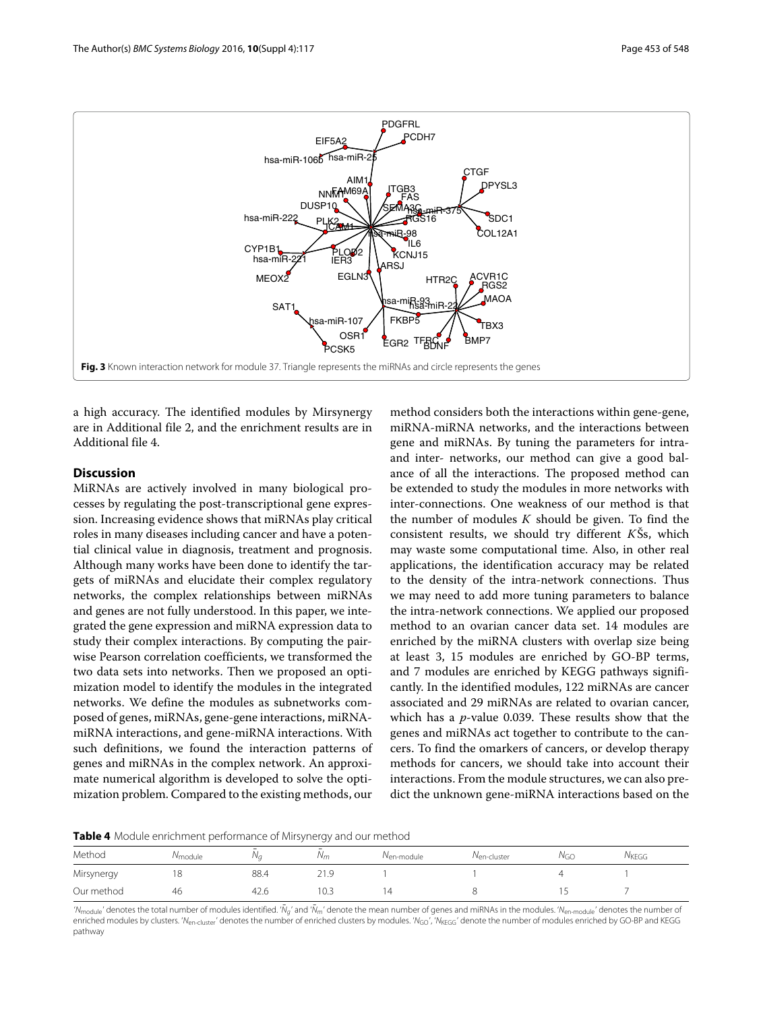

<span id="page-8-0"></span>a high accuracy. The identified modules by Mirsynergy are in Additional file [2,](#page-9-12) and the enrichment results are in Additional file [4.](#page-9-13)

### **Discussion**

MiRNAs are actively involved in many biological processes by regulating the post-transcriptional gene expression. Increasing evidence shows that miRNAs play critical roles in many diseases including cancer and have a potential clinical value in diagnosis, treatment and prognosis. Although many works have been done to identify the targets of miRNAs and elucidate their complex regulatory networks, the complex relationships between miRNAs and genes are not fully understood. In this paper, we integrated the gene expression and miRNA expression data to study their complex interactions. By computing the pairwise Pearson correlation coefficients, we transformed the two data sets into networks. Then we proposed an optimization model to identify the modules in the integrated networks. We define the modules as subnetworks composed of genes, miRNAs, gene-gene interactions, miRNAmiRNA interactions, and gene-miRNA interactions. With such definitions, we found the interaction patterns of genes and miRNAs in the complex network. An approximate numerical algorithm is developed to solve the optimization problem. Compared to the existing methods, our

method considers both the interactions within gene-gene, miRNA-miRNA networks, and the interactions between gene and miRNAs. By tuning the parameters for intraand inter- networks, our method can give a good balance of all the interactions. The proposed method can be extended to study the modules in more networks with inter-connections. One weakness of our method is that the number of modules *K* should be given. To find the consistent results, we should try different *K*Šs, which may waste some computational time. Also, in other real applications, the identification accuracy may be related to the density of the intra-network connections. Thus we may need to add more tuning parameters to balance the intra-network connections. We applied our proposed method to an ovarian cancer data set. 14 modules are enriched by the miRNA clusters with overlap size being at least 3, 15 modules are enriched by GO-BP terms, and 7 modules are enriched by KEGG pathways significantly. In the identified modules, 122 miRNAs are cancer associated and 29 miRNAs are related to ovarian cancer, which has a *p*-value 0.039. These results show that the genes and miRNAs act together to contribute to the cancers. To find the omarkers of cancers, or develop therapy methods for cancers, we should take into account their interactions. From the module structures, we can also predict the unknown gene-miRNA interactions based on the

<span id="page-8-1"></span>**Table 4** Module enrichment performance of Mirsynergy and our method

|            |                      | __    | --                  |                            |                         |                 |                   |
|------------|----------------------|-------|---------------------|----------------------------|-------------------------|-----------------|-------------------|
| Method     | <sup>/V</sup> module | , v c | -<br>N <sub>m</sub> | l <sup>v</sup> en-module i | N <sub>en-cluster</sub> | N <sub>GO</sub> | $N_{\text{KEGG}}$ |
| Mirsynergy |                      | 88.4  |                     |                            |                         |                 |                   |
| Our method | 46                   | 42.6  | 10.3                | 14                         |                         |                 |                   |

'N<sub>module</sub>' denotes the total number of modules identified. 'N̄<sub>a'</sub> and 'Ñ̄<sub>m</sub>' denote the mean number of genes and miRNAs in the modules. 'N<sub>en-module</sub>' denotes the number of enriched modules by clusters. 'N<sub>en-cluster</sub>' denotes the number of enriched clusters by modules. 'N<sub>GO</sub>', 'N<sub>KEGG</sub>' denote the number of modules enriched by GO-BP and KEGG pathway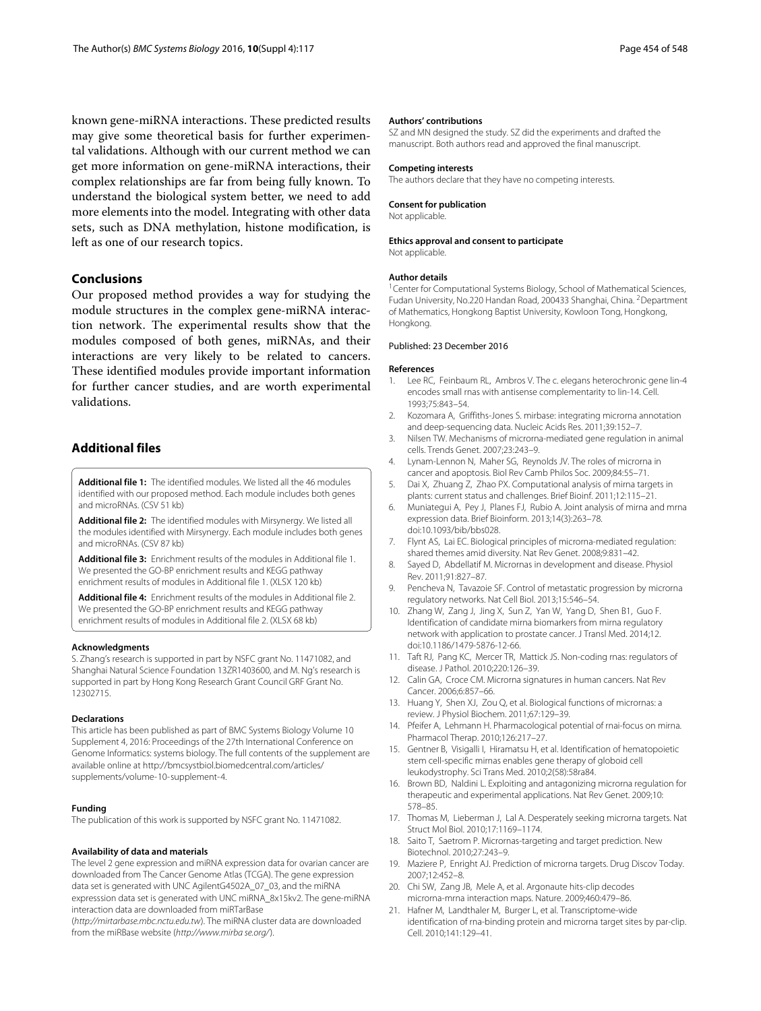known gene-miRNA interactions. These predicted results may give some theoretical basis for further experimental validations. Although with our current method we can get more information on gene-miRNA interactions, their complex relationships are far from being fully known. To understand the biological system better, we need to add more elements into the model. Integrating with other data sets, such as DNA methylation, histone modification, is left as one of our research topics.

#### **Conclusions**

Our proposed method provides a way for studying the module structures in the complex gene-miRNA interaction network. The experimental results show that the modules composed of both genes, miRNAs, and their interactions are very likely to be related to cancers. These identified modules provide important information for further cancer studies, and are worth experimental validations.

#### **Additional files**

<span id="page-9-10"></span>**[Additional file 1:](http://dx.doi.org/10.1186/s12918-016-0357-1)** The identified modules. We listed all the 46 modules identified with our proposed method. Each module includes both genes and microRNAs. (CSV 51 kb)

<span id="page-9-12"></span>**[Additional file 2:](http://dx.doi.org/10.1186/s12918-016-0357-1)** The identified modules with Mirsynergy. We listed all the modules identified with Mirsynergy. Each module includes both genes and microRNAs. (CSV 87 kb)

<span id="page-9-11"></span>**[Additional file 3:](http://dx.doi.org/10.1186/s12918-016-0357-1)** Enrichment results of the modules in Additional file [1.](#page-9-10) We presented the GO-BP enrichment results and KEGG pathway enrichment results of modules in Additional file [1.](#page-9-10) (XLSX 120 kb)

<span id="page-9-13"></span>**[Additional file 4:](http://dx.doi.org/10.1186/s12918-016-0357-1)** Enrichment results of the modules in Additional file [2.](#page-9-12) We presented the GO-BP enrichment results and KEGG pathway enrichment results of modules in Additional file [2.](#page-9-12) (XLSX 68 kb)

#### **Acknowledgments**

S. Zhang's research is supported in part by NSFC grant No. 11471082, and Shanghai Natural Science Foundation 13ZR1403600, and M. Ng's research is supported in part by Hong Kong Research Grant Council GRF Grant No. 12302715.

#### **Declarations**

This article has been published as part of BMC Systems Biology Volume 10 Supplement 4, 2016: Proceedings of the 27th International Conference on Genome Informatics: systems biology. The full contents of the supplement are available online at [http://bmcsystbiol.biomedcentral.com/articles/](http://bmcsystbiol.biomedcentral.com/articles/supplements/volume-10-supplement-4) [supplements/volume-10-supplement-4.](http://bmcsystbiol.biomedcentral.com/articles/supplements/volume-10-supplement-4)

#### **Funding**

The publication of this work is supported by NSFC grant No. 11471082.

#### **Availability of data and materials**

The level 2 gene expression and miRNA expression data for ovarian cancer are downloaded from The Cancer Genome Atlas (TCGA). The gene expression data set is generated with UNC AgilentG4502A\_07\_03, and the miRNA expresssion data set is generated with UNC miRNA\_8x15kv2. The gene-miRNA interaction data are downloaded from miRTarBase

(http://mirtarbase.mbc.nctu.edu.tw). The miRNA cluster data are downloaded from the miRBase website (http://www.mirba se.org/).

#### **Authors' contributions**

SZ and MN designed the study. SZ did the experiments and drafted the manuscript. Both authors read and approved the final manuscript.

#### **Competing interests**

The authors declare that they have no competing interests.

**Consent for publication** Not applicable.

#### **Ethics approval and consent to participate**

Not applicable.

#### **Author details**

1Center for Computational Systems Biology, School of Mathematical Sciences, Fudan University, No.220 Handan Road, 200433 Shanghai, China. 2Department of Mathematics, Hongkong Baptist University, Kowloon Tong, Hongkong, Hongkong.

#### Published: 23 December 2016

#### **References**

- <span id="page-9-0"></span>1. Lee RC, Feinbaum RL, Ambros V. The c. elegans heterochronic gene lin-4 encodes small rnas with antisense complementarity to lin-14. Cell. 1993;75:843–54.
- <span id="page-9-1"></span>2. Kozomara A, Griffiths-Jones S. mirbase: integrating microrna annotation and deep-sequencing data. Nucleic Acids Res. 2011;39:152–7.
- <span id="page-9-2"></span>3. Nilsen TW. Mechanisms of microrna-mediated gene regulation in animal cells. Trends Genet. 2007;23:243–9.
- 4. Lynam-Lennon N, Maher SG, Reynolds JV. The roles of microrna in cancer and apoptosis. Biol Rev Camb Philos Soc. 2009;84:55–71.
- 5. Dai X, Zhuang Z, Zhao PX. Computational analysis of mirna targets in plants: current status and challenges. Brief Bioinf. 2011;12:115–21.
- <span id="page-9-3"></span>6. Muniategui A, Pey J, Planes FJ, Rubio A. Joint analysis of mirna and mrna expression data. Brief Bioinform. 2013;14(3):263–78. doi[:10.1093/bib/bbs028.](http://dx.doi.org/10.1093/bib/bbs028)
- <span id="page-9-4"></span>7. Flynt AS, Lai EC. Biological principles of microrna-mediated regulation: shared themes amid diversity. Nat Rev Genet. 2008;9:831–42.
- <span id="page-9-5"></span>8. Sayed D, Abdellatif M. Micrornas in development and disease. Physiol Rev. 2011;91:827–87.
- 9. Pencheva N, Tavazoie SF. Control of metastatic progression by microrna regulatory networks. Nat Cell Biol. 2013;15:546–54.
- 10. Zhang W, Zang J, Jing X, Sun Z, Yan W, Yang D, Shen B1, Guo F. Identification of candidate mirna biomarkers from mirna regulatory network with application to prostate cancer. J Transl Med. 2014;12. doi[:10.1186/1479-5876-12-66.](http://dx.doi.org/10.1186/1479-5876-12-66)
- 11. Taft RJ, Pang KC, Mercer TR, Mattick JS. Non-coding rnas: regulators of disease. J Pathol. 2010;220:126–39.
- 12. Calin GA, Croce CM. Microrna signatures in human cancers. Nat Rev Cancer. 2006;6:857–66.
- <span id="page-9-6"></span>13. Huang Y, Shen XJ, Zou Q, et al. Biological functions of micrornas: a review. J Physiol Biochem. 2011;67:129–39.
- <span id="page-9-7"></span>14. Pfeifer A, Lehmann H. Pharmacological potential of rnai-focus on mirna. Pharmacol Therap. 2010;126:217–27.
- 15. Gentner B, Visigalli I, Hiramatsu H, et al. Identification of hematopoietic stem cell-specific mirnas enables gene therapy of globoid cell leukodystrophy. Sci Trans Med. 2010;2(58):58ra84.
- <span id="page-9-8"></span>16. Brown BD, Naldini L. Exploiting and antagonizing microrna regulation for therapeutic and experimental applications. Nat Rev Genet. 2009;10: 578–85.
- <span id="page-9-9"></span>17. Thomas M, Lieberman J, Lal A. Desperately seeking microrna targets. Nat Struct Mol Biol. 2010;17:1169–1174.
- 18. Saito T, Saetrom P. Micrornas-targeting and target prediction. New Biotechnol. 2010;27:243–9.
- 19. Maziere P, Enright AJ. Prediction of microrna targets. Drug Discov Today. 2007;12:452–8.
- 20. Chi SW, Zang JB, Mele A, et al. Argonaute hits-clip decodes microrna-mrna interaction maps. Nature. 2009;460:479–86.
- 21. Hafner M, Landthaler M, Burger L, et al. Transcriptome-wide identification of rna-binding protein and microrna target sites by par-clip. Cell. 2010;141:129–41.